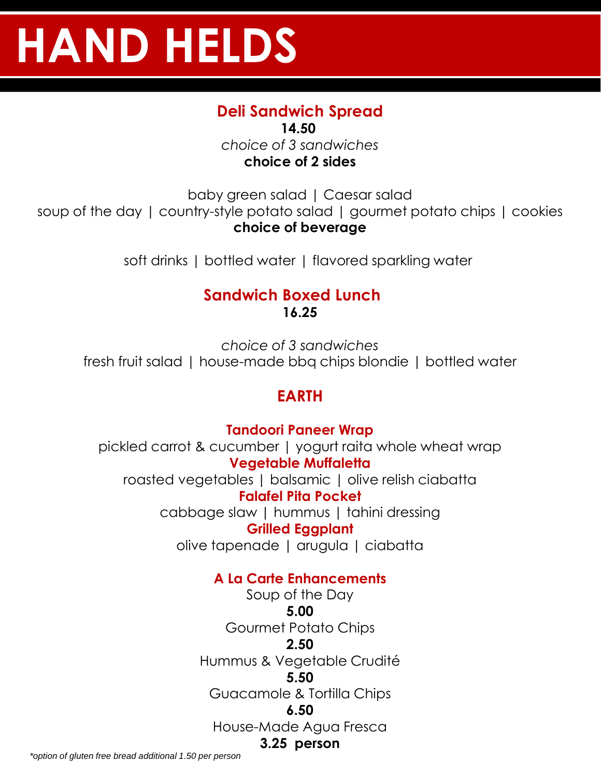# **HAND HELDS**

# **Deli Sandwich Spread**

**14.50** *choice of 3 sandwiches* **choice of 2 sides**

baby green salad | Caesar salad soup of the day | country-style potato salad | gourmet potato chips | cookies **choice of beverage** 

soft drinks | bottled water | flavored sparkling water

#### **Sandwich Boxed Lunch 16.25**

*choice of 3 sandwiches* fresh fruit salad | house-made bbq chips blondie | bottled water

# **EARTH**

**Tandoori Paneer Wrap** pickled carrot & cucumber | yogurt raita whole wheat wrap **Vegetable Muffaletta** roasted vegetables | balsamic | olive relish ciabatta **Falafel Pita Pocket** cabbage slaw | hummus | tahini dressing **Grilled Eggplant** olive tapenade | arugula | ciabatta

#### **A La Carte Enhancements**

Soup of the Day **5.00** Gourmet Potato Chips **2.50** Hummus & Vegetable Crudité **5.50** Guacamole & Tortilla Chips **6.50** House-Made Agua Fresca **3.25 person**

*\*option of gluten free bread additional 1.50 per person*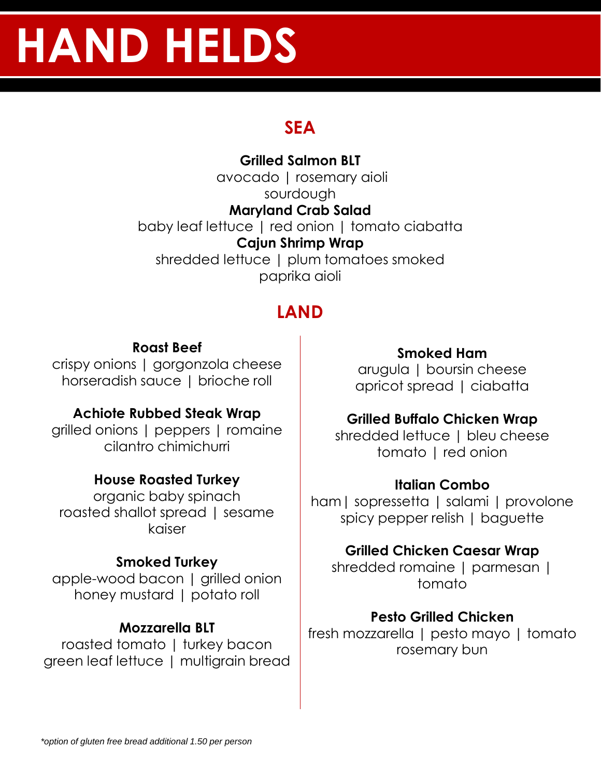# **HAND HELDS**

# **SEA**

**Grilled Salmon BLT** avocado | rosemary aioli sourdough **Maryland Crab Salad** baby leaf lettuce | red onion | tomato ciabatta **Cajun Shrimp Wrap** shredded lettuce | plum tomatoes smoked paprika aioli

# **LAND**

#### **Roast Beef**

crispy onions | gorgonzola cheese horseradish sauce | brioche roll

## **Achiote Rubbed Steak Wrap**

grilled onions | peppers | romaine cilantro chimichurri

## **House Roasted Turkey**

organic baby spinach roasted shallot spread | sesame kaiser

## **Smoked Turkey**

apple-wood bacon | grilled onion honey mustard | potato roll

## **Mozzarella BLT**

roasted tomato | turkey bacon green leaf lettuce | multigrain bread

#### **Smoked Ham**

arugula | boursin cheese apricot spread | ciabatta

#### **Grilled Buffalo Chicken Wrap**

shredded lettuce | bleu cheese tomato | red onion

#### **Italian Combo**

ham| sopressetta | salami | provolone spicy pepper relish | baguette

#### **Grilled Chicken Caesar Wrap**

shredded romaine | parmesan | tomato

#### **Pesto Grilled Chicken**

fresh mozzarella | pesto mayo | tomato rosemary bun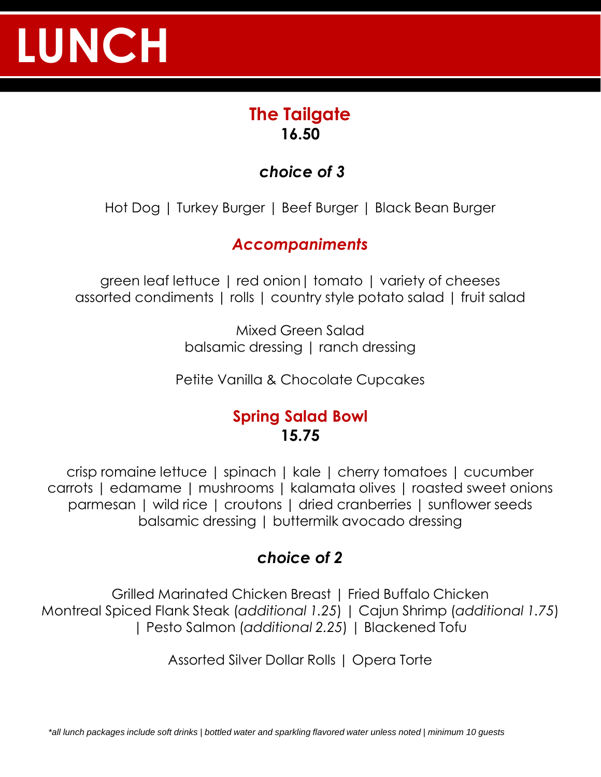# **LUNCH**

# **The Tailgate 16.50**

# *choice of 3*

Hot Dog | Turkey Burger | Beef Burger | Black Bean Burger

# *Accompaniments*

green leaf lettuce | red onion| tomato | variety of cheeses assorted condiments | rolls | country style potato salad | fruit salad

> Mixed Green Salad balsamic dressing | ranch dressing

Petite Vanilla & Chocolate Cupcakes

## **Spring Salad Bowl 15.75**

crisp romaine lettuce | spinach | kale | cherry tomatoes | cucumber carrots | edamame | mushrooms | kalamata olives | roasted sweet onions parmesan | wild rice | croutons | dried cranberries | sunflower seeds balsamic dressing | buttermilk avocado dressing

# *choice of 2*

Grilled Marinated Chicken Breast | Fried Buffalo Chicken Montreal Spiced Flank Steak (*additional 1.25*) | Cajun Shrimp (*additional 1.75*) | Pesto Salmon (*additional 2.25*) | Blackened Tofu

Assorted Silver Dollar Rolls | Opera Torte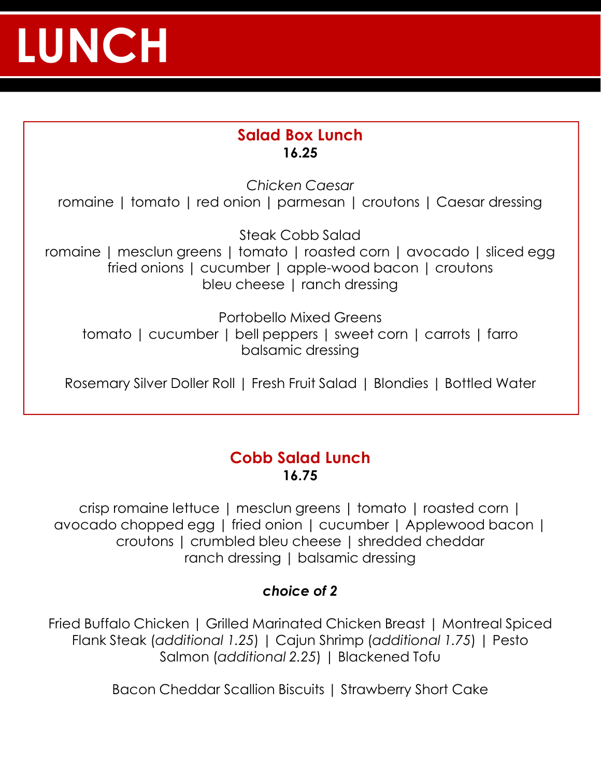# **LUNCH**

### **Salad Box Lunch 16.25**

*Chicken Caesar* romaine | tomato | red onion | parmesan | croutons | Caesar dressing

Steak Cobb Salad romaine | mesclun greens | tomato | roasted corn | avocado | sliced egg fried onions | cucumber | apple-wood bacon | croutons bleu cheese | ranch dressing

Portobello Mixed Greens tomato | cucumber | bell peppers | sweet corn | carrots | farro balsamic dressing

Rosemary Silver Doller Roll | Fresh Fruit Salad | Blondies | Bottled Water

#### **Cobb Salad Lunch 16.75**

crisp romaine lettuce | mesclun greens | tomato | roasted corn | avocado chopped egg | fried onion | cucumber | Applewood bacon | croutons | crumbled bleu cheese | shredded cheddar ranch dressing | balsamic dressing

#### *choice of 2*

Fried Buffalo Chicken | Grilled Marinated Chicken Breast | Montreal Spiced Flank Steak (*additional 1.25*) | Cajun Shrimp (*additional 1.75*) | Pesto Salmon (*additional 2.25*) | Blackened Tofu

Bacon Cheddar Scallion Biscuits | Strawberry Short Cake